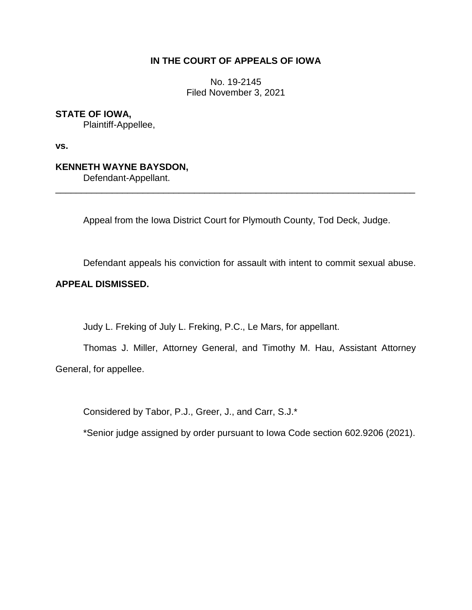## **IN THE COURT OF APPEALS OF IOWA**

No. 19-2145 Filed November 3, 2021

**STATE OF IOWA,**

Plaintiff-Appellee,

**vs.**

**KENNETH WAYNE BAYSDON,**

Defendant-Appellant.

Appeal from the Iowa District Court for Plymouth County, Tod Deck, Judge.

\_\_\_\_\_\_\_\_\_\_\_\_\_\_\_\_\_\_\_\_\_\_\_\_\_\_\_\_\_\_\_\_\_\_\_\_\_\_\_\_\_\_\_\_\_\_\_\_\_\_\_\_\_\_\_\_\_\_\_\_\_\_\_\_\_\_\_\_\_\_

Defendant appeals his conviction for assault with intent to commit sexual abuse.

## **APPEAL DISMISSED.**

Judy L. Freking of July L. Freking, P.C., Le Mars, for appellant.

Thomas J. Miller, Attorney General, and Timothy M. Hau, Assistant Attorney General, for appellee.

Considered by Tabor, P.J., Greer, J., and Carr, S.J.\*

\*Senior judge assigned by order pursuant to Iowa Code section 602.9206 (2021).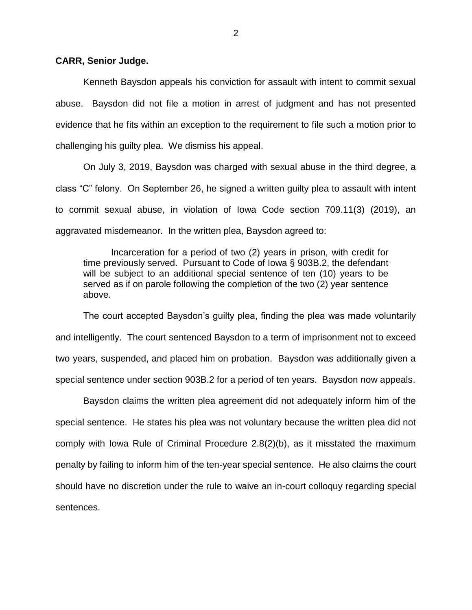## **CARR, Senior Judge.**

Kenneth Baysdon appeals his conviction for assault with intent to commit sexual abuse. Baysdon did not file a motion in arrest of judgment and has not presented evidence that he fits within an exception to the requirement to file such a motion prior to challenging his guilty plea. We dismiss his appeal.

On July 3, 2019, Baysdon was charged with sexual abuse in the third degree, a class "C" felony. On September 26, he signed a written guilty plea to assault with intent to commit sexual abuse, in violation of Iowa Code section 709.11(3) (2019), an aggravated misdemeanor. In the written plea, Baysdon agreed to:

Incarceration for a period of two (2) years in prison, with credit for time previously served. Pursuant to Code of Iowa § 903B.2, the defendant will be subject to an additional special sentence of ten (10) years to be served as if on parole following the completion of the two (2) year sentence above.

The court accepted Baysdon's guilty plea, finding the plea was made voluntarily and intelligently. The court sentenced Baysdon to a term of imprisonment not to exceed two years, suspended, and placed him on probation. Baysdon was additionally given a special sentence under section 903B.2 for a period of ten years. Baysdon now appeals.

Baysdon claims the written plea agreement did not adequately inform him of the special sentence. He states his plea was not voluntary because the written plea did not comply with Iowa Rule of Criminal Procedure 2.8(2)(b), as it misstated the maximum penalty by failing to inform him of the ten-year special sentence. He also claims the court should have no discretion under the rule to waive an in-court colloquy regarding special sentences.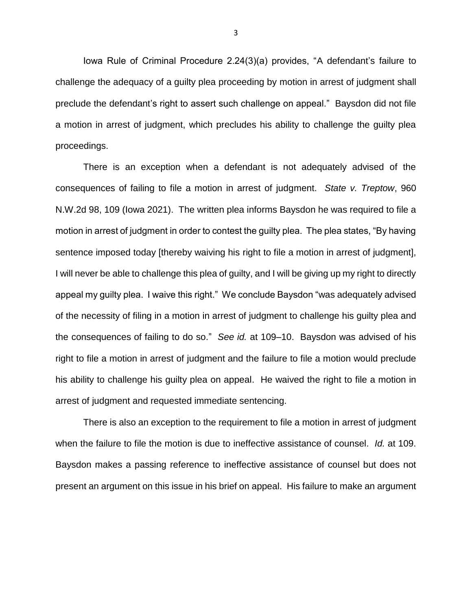Iowa Rule of Criminal Procedure 2.24(3)(a) provides, "A defendant's failure to challenge the adequacy of a guilty plea proceeding by motion in arrest of judgment shall preclude the defendant's right to assert such challenge on appeal." Baysdon did not file a motion in arrest of judgment, which precludes his ability to challenge the guilty plea proceedings.

There is an exception when a defendant is not adequately advised of the consequences of failing to file a motion in arrest of judgment. *State v. Treptow*, 960 N.W.2d 98, 109 (Iowa 2021). The written plea informs Baysdon he was required to file a motion in arrest of judgment in order to contest the guilty plea. The plea states, "By having sentence imposed today [thereby waiving his right to file a motion in arrest of judgment], I will never be able to challenge this plea of guilty, and I will be giving up my right to directly appeal my guilty plea. I waive this right." We conclude Baysdon "was adequately advised of the necessity of filing in a motion in arrest of judgment to challenge his guilty plea and the consequences of failing to do so." *See id.* at 109–10. Baysdon was advised of his right to file a motion in arrest of judgment and the failure to file a motion would preclude his ability to challenge his guilty plea on appeal. He waived the right to file a motion in arrest of judgment and requested immediate sentencing.

There is also an exception to the requirement to file a motion in arrest of judgment when the failure to file the motion is due to ineffective assistance of counsel. *Id.* at 109. Baysdon makes a passing reference to ineffective assistance of counsel but does not present an argument on this issue in his brief on appeal. His failure to make an argument

3